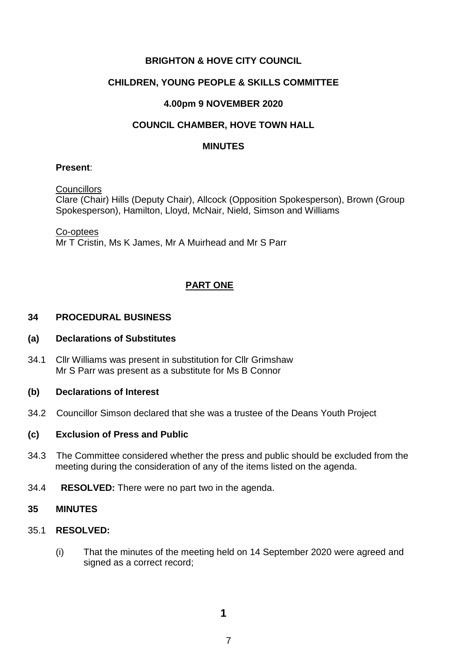## **BRIGHTON & HOVE CITY COUNCIL**

## **CHILDREN, YOUNG PEOPLE & SKILLS COMMITTEE**

## **4.00pm 9 NOVEMBER 2020**

## **COUNCIL CHAMBER, HOVE TOWN HALL**

#### **MINUTES**

## **Present**:

**Councillors** Clare (Chair) Hills (Deputy Chair), Allcock (Opposition Spokesperson), Brown (Group Spokesperson), Hamilton, Lloyd, McNair, Nield, Simson and Williams

Co-optees Mr T Cristin, Ms K James, Mr A Muirhead and Mr S Parr

# **PART ONE**

### **34 PROCEDURAL BUSINESS**

### **(a) Declarations of Substitutes**

34.1 Cllr Williams was present in substitution for Cllr Grimshaw Mr S Parr was present as a substitute for Ms B Connor

## **(b) Declarations of Interest**

34.2 Councillor Simson declared that she was a trustee of the Deans Youth Project

#### **(c) Exclusion of Press and Public**

- 34.3 The Committee considered whether the press and public should be excluded from the meeting during the consideration of any of the items listed on the agenda.
- 34.4 **RESOLVED:** There were no part two in the agenda.

#### **35 MINUTES**

### 35.1 **RESOLVED:**

(i) That the minutes of the meeting held on 14 September 2020 were agreed and signed as a correct record;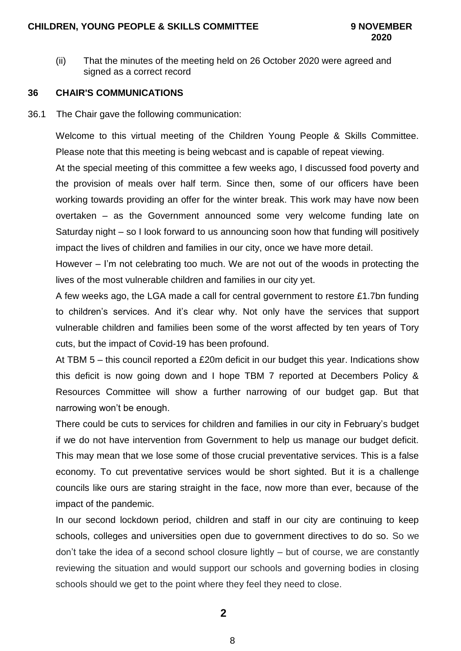(ii) That the minutes of the meeting held on 26 October 2020 were agreed and signed as a correct record

#### **36 CHAIR'S COMMUNICATIONS**

36.1 The Chair gave the following communication:

Welcome to this virtual meeting of the Children Young People & Skills Committee. Please note that this meeting is being webcast and is capable of repeat viewing.

At the special meeting of this committee a few weeks ago, I discussed food poverty and the provision of meals over half term. Since then, some of our officers have been working towards providing an offer for the winter break. This work may have now been overtaken – as the Government announced some very welcome funding late on Saturday night – so I look forward to us announcing soon how that funding will positively impact the lives of children and families in our city, once we have more detail.

However – I'm not celebrating too much. We are not out of the woods in protecting the lives of the most vulnerable children and families in our city yet.

A few weeks ago, the LGA made a call for central government to restore £1.7bn funding to children's services. And it's clear why. Not only have the services that support vulnerable children and families been some of the worst affected by ten years of Tory cuts, but the impact of Covid-19 has been profound.

At TBM 5 – this council reported a £20m deficit in our budget this year. Indications show this deficit is now going down and I hope TBM 7 reported at Decembers Policy & Resources Committee will show a further narrowing of our budget gap. But that narrowing won't be enough.

There could be cuts to services for children and families in our city in February's budget if we do not have intervention from Government to help us manage our budget deficit. This may mean that we lose some of those crucial preventative services. This is a false economy. To cut preventative services would be short sighted. But it is a challenge councils like ours are staring straight in the face, now more than ever, because of the impact of the pandemic.

In our second lockdown period, children and staff in our city are continuing to keep schools, colleges and universities open due to government directives to do so. So we don't take the idea of a second school closure lightly – but of course, we are constantly reviewing the situation and would support our schools and governing bodies in closing schools should we get to the point where they feel they need to close.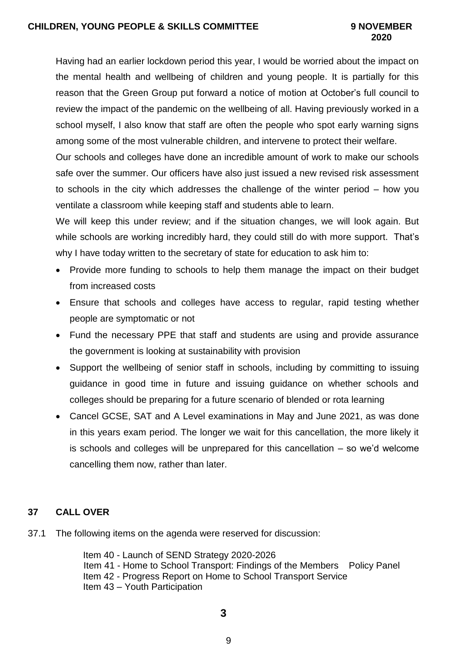Having had an earlier lockdown period this year, I would be worried about the impact on the mental health and wellbeing of children and young people. It is partially for this reason that the Green Group put forward a notice of motion at October's full council to review the impact of the pandemic on the wellbeing of all. Having previously worked in a school myself, I also know that staff are often the people who spot early warning signs among some of the most vulnerable children, and intervene to protect their welfare.

Our schools and colleges have done an incredible amount of work to make our schools safe over the summer. Our officers have also just issued a new revised risk assessment to schools in the city which addresses the challenge of the winter period – how you ventilate a classroom while keeping staff and students able to learn.

We will keep this under review; and if the situation changes, we will look again. But while schools are working incredibly hard, they could still do with more support. That's why I have today written to the secretary of state for education to ask him to:

- Provide more funding to schools to help them manage the impact on their budget from increased costs
- Ensure that schools and colleges have access to regular, rapid testing whether people are symptomatic or not
- Fund the necessary PPE that staff and students are using and provide assurance the government is looking at sustainability with provision
- Support the wellbeing of senior staff in schools, including by committing to issuing guidance in good time in future and issuing guidance on whether schools and colleges should be preparing for a future scenario of blended or rota learning
- Cancel GCSE, SAT and A Level examinations in May and June 2021, as was done in this years exam period. The longer we wait for this cancellation, the more likely it is schools and colleges will be unprepared for this cancellation – so we'd welcome cancelling them now, rather than later.

# **37 CALL OVER**

37.1 The following items on the agenda were reserved for discussion:

Item 40 - Launch of SEND Strategy 2020-2026 Item 41 - Home to School Transport: Findings of the Members Policy Panel Item 42 - Progress Report on Home to School Transport Service Item 43 – Youth Participation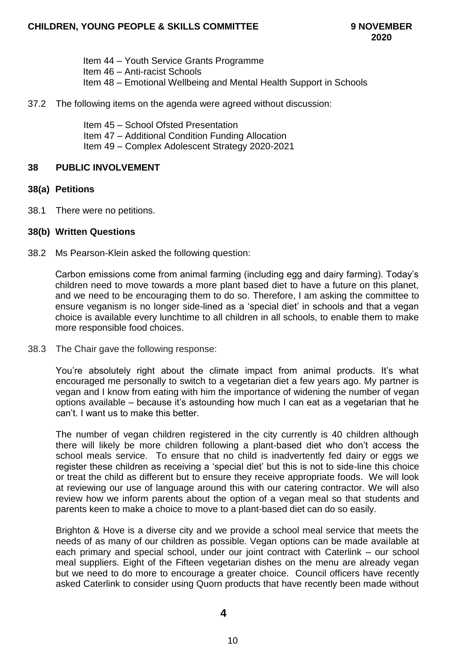Item 44 – Youth Service Grants Programme Item 46 – Anti-racist Schools Item 48 – Emotional Wellbeing and Mental Health Support in Schools

37.2 The following items on the agenda were agreed without discussion:

Item 45 – School Ofsted Presentation Item 47 – Additional Condition Funding Allocation Item 49 – Complex Adolescent Strategy 2020-2021

## **38 PUBLIC INVOLVEMENT**

#### **38(a) Petitions**

38.1 There were no petitions.

## **38(b) Written Questions**

38.2 Ms Pearson-Klein asked the following question:

Carbon emissions come from animal farming (including egg and dairy farming). Today's children need to move towards a more plant based diet to have a future on this planet, and we need to be encouraging them to do so. Therefore, I am asking the committee to ensure veganism is no longer side-lined as a 'special diet' in schools and that a vegan choice is available every lunchtime to all children in all schools, to enable them to make more responsible food choices.

38.3 The Chair gave the following response:

You're absolutely right about the climate impact from animal products. It's what encouraged me personally to switch to a vegetarian diet a few years ago. My partner is vegan and I know from eating with him the importance of widening the number of vegan options available – because it's astounding how much I can eat as a vegetarian that he can't. I want us to make this better.

The number of vegan children registered in the city currently is 40 children although there will likely be more children following a plant-based diet who don't access the school meals service. To ensure that no child is inadvertently fed dairy or eggs we register these children as receiving a 'special diet' but this is not to side-line this choice or treat the child as different but to ensure they receive appropriate foods. We will look at reviewing our use of language around this with our catering contractor. We will also review how we inform parents about the option of a vegan meal so that students and parents keen to make a choice to move to a plant-based diet can do so easily.

Brighton & Hove is a diverse city and we provide a school meal service that meets the needs of as many of our children as possible. Vegan options can be made available at each primary and special school, under our joint contract with Caterlink – our school meal suppliers. Eight of the Fifteen vegetarian dishes on the menu are already vegan but we need to do more to encourage a greater choice. Council officers have recently asked Caterlink to consider using Quorn products that have recently been made without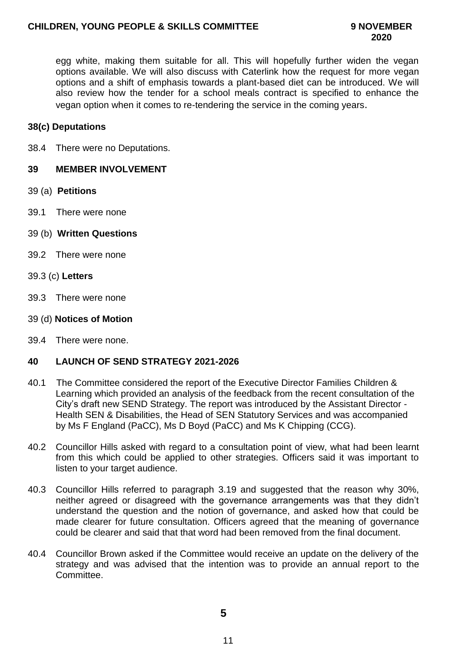egg white, making them suitable for all. This will hopefully further widen the vegan options available. We will also discuss with Caterlink how the request for more vegan options and a shift of emphasis towards a plant-based diet can be introduced. We will also review how the tender for a school meals contract is specified to enhance the vegan option when it comes to re-tendering the service in the coming years.

#### **38(c) Deputations**

38.4 There were no Deputations.

## **39 MEMBER INVOLVEMENT**

- 39 (a) **Petitions**
- 39.1 There were none
- 39 (b) **Written Questions**
- 39.2 There were none

### 39.3 (c) **Letters**

39.3 There were none

### 39 (d) **Notices of Motion**

39.4 There were none.

## **40 LAUNCH OF SEND STRATEGY 2021-2026**

- 40.1 The Committee considered the report of the Executive Director Families Children & Learning which provided an analysis of the feedback from the recent consultation of the City's draft new SEND Strategy. The report was introduced by the Assistant Director - Health SEN & Disabilities, the Head of SEN Statutory Services and was accompanied by Ms F England (PaCC), Ms D Boyd (PaCC) and Ms K Chipping (CCG).
- 40.2 Councillor Hills asked with regard to a consultation point of view, what had been learnt from this which could be applied to other strategies. Officers said it was important to listen to your target audience.
- 40.3 Councillor Hills referred to paragraph 3.19 and suggested that the reason why 30%, neither agreed or disagreed with the governance arrangements was that they didn't understand the question and the notion of governance, and asked how that could be made clearer for future consultation. Officers agreed that the meaning of governance could be clearer and said that that word had been removed from the final document.
- 40.4 Councillor Brown asked if the Committee would receive an update on the delivery of the strategy and was advised that the intention was to provide an annual report to the **Committee**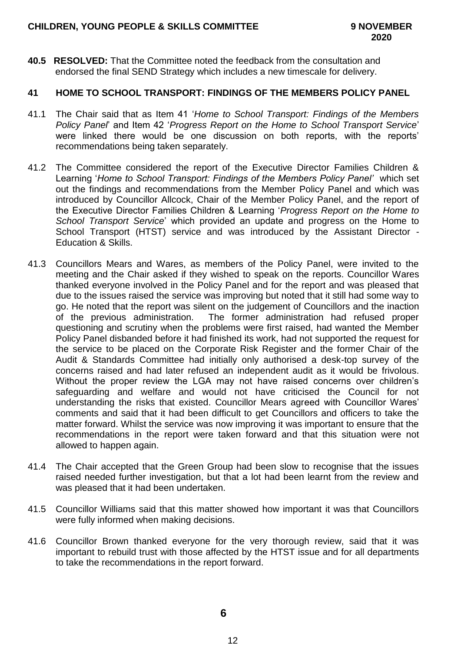**40.5 RESOLVED:** That the Committee noted the feedback from the consultation and endorsed the final SEND Strategy which includes a new timescale for delivery.

### **41 HOME TO SCHOOL TRANSPORT: FINDINGS OF THE MEMBERS POLICY PANEL**

- 41.1 The Chair said that as Item 41 '*Home to School Transport: Findings of the Members Policy Panel*' and Item 42 '*Progress Report on the Home to School Transport Service*' were linked there would be one discussion on both reports, with the reports' recommendations being taken separately.
- 41.2 The Committee considered the report of the Executive Director Families Children & Learning '*Home to School Transport: Findings of the Members Policy Panel'* which set out the findings and recommendations from the Member Policy Panel and which was introduced by Councillor Allcock, Chair of the Member Policy Panel, and the report of the Executive Director Families Children & Learning '*Progress Report on the Home to School Transport Service*' which provided an update and progress on the Home to School Transport (HTST) service and was introduced by the Assistant Director - Education & Skills.
- 41.3 Councillors Mears and Wares, as members of the Policy Panel, were invited to the meeting and the Chair asked if they wished to speak on the reports. Councillor Wares thanked everyone involved in the Policy Panel and for the report and was pleased that due to the issues raised the service was improving but noted that it still had some way to go. He noted that the report was silent on the judgement of Councillors and the inaction of the previous administration. The former administration had refused proper questioning and scrutiny when the problems were first raised, had wanted the Member Policy Panel disbanded before it had finished its work, had not supported the request for the service to be placed on the Corporate Risk Register and the former Chair of the Audit & Standards Committee had initially only authorised a desk-top survey of the concerns raised and had later refused an independent audit as it would be frivolous. Without the proper review the LGA may not have raised concerns over children's safeguarding and welfare and would not have criticised the Council for not understanding the risks that existed. Councillor Mears agreed with Councillor Wares' comments and said that it had been difficult to get Councillors and officers to take the matter forward. Whilst the service was now improving it was important to ensure that the recommendations in the report were taken forward and that this situation were not allowed to happen again.
- 41.4 The Chair accepted that the Green Group had been slow to recognise that the issues raised needed further investigation, but that a lot had been learnt from the review and was pleased that it had been undertaken.
- 41.5 Councillor Williams said that this matter showed how important it was that Councillors were fully informed when making decisions.
- 41.6 Councillor Brown thanked everyone for the very thorough review, said that it was important to rebuild trust with those affected by the HTST issue and for all departments to take the recommendations in the report forward.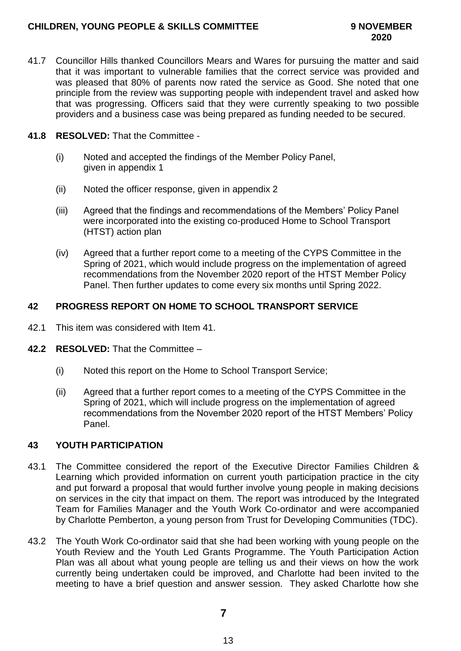- 41.7 Councillor Hills thanked Councillors Mears and Wares for pursuing the matter and said that it was important to vulnerable families that the correct service was provided and was pleased that 80% of parents now rated the service as Good. She noted that one principle from the review was supporting people with independent travel and asked how that was progressing. Officers said that they were currently speaking to two possible providers and a business case was being prepared as funding needed to be secured.
- **41.8 RESOLVED:** That the Committee
	- (i) Noted and accepted the findings of the Member Policy Panel, given in appendix 1
	- (ii) Noted the officer response, given in appendix 2
	- (iii) Agreed that the findings and recommendations of the Members' Policy Panel were incorporated into the existing co-produced Home to School Transport (HTST) action plan
	- (iv) Agreed that a further report come to a meeting of the CYPS Committee in the Spring of 2021, which would include progress on the implementation of agreed recommendations from the November 2020 report of the HTST Member Policy Panel. Then further updates to come every six months until Spring 2022.

# **42 PROGRESS REPORT ON HOME TO SCHOOL TRANSPORT SERVICE**

- 42.1 This item was considered with Item 41.
- **42.2 RESOLVED:** That the Committee
	- (i) Noted this report on the Home to School Transport Service;
	- (ii) Agreed that a further report comes to a meeting of the CYPS Committee in the Spring of 2021, which will include progress on the implementation of agreed recommendations from the November 2020 report of the HTST Members' Policy Panel.

# **43 YOUTH PARTICIPATION**

- 43.1 The Committee considered the report of the Executive Director Families Children & Learning which provided information on current youth participation practice in the city and put forward a proposal that would further involve young people in making decisions on services in the city that impact on them. The report was introduced by the Integrated Team for Families Manager and the Youth Work Co-ordinator and were accompanied by Charlotte Pemberton, a young person from Trust for Developing Communities (TDC).
- 43.2 The Youth Work Co-ordinator said that she had been working with young people on the Youth Review and the Youth Led Grants Programme. The Youth Participation Action Plan was all about what young people are telling us and their views on how the work currently being undertaken could be improved, and Charlotte had been invited to the meeting to have a brief question and answer session. They asked Charlotte how she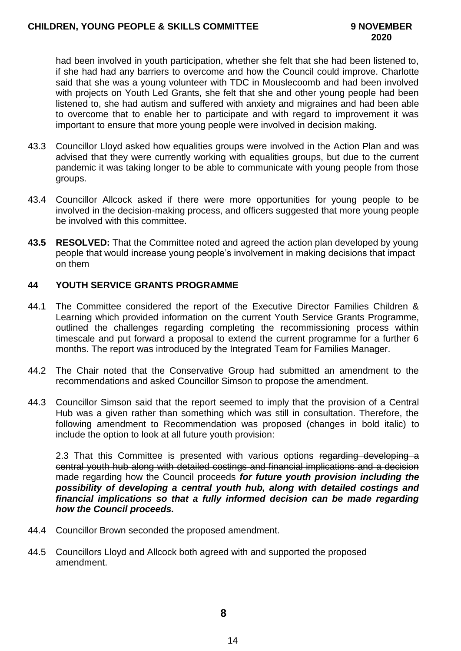had been involved in youth participation, whether she felt that she had been listened to, if she had had any barriers to overcome and how the Council could improve. Charlotte said that she was a young volunteer with TDC in Mouslecoomb and had been involved with projects on Youth Led Grants, she felt that she and other young people had been listened to, she had autism and suffered with anxiety and migraines and had been able to overcome that to enable her to participate and with regard to improvement it was important to ensure that more young people were involved in decision making.

- 43.3 Councillor Lloyd asked how equalities groups were involved in the Action Plan and was advised that they were currently working with equalities groups, but due to the current pandemic it was taking longer to be able to communicate with young people from those groups.
- 43.4 Councillor Allcock asked if there were more opportunities for young people to be involved in the decision-making process, and officers suggested that more young people be involved with this committee.
- **43.5 RESOLVED:** That the Committee noted and agreed the action plan developed by young people that would increase young people's involvement in making decisions that impact on them

## **44 YOUTH SERVICE GRANTS PROGRAMME**

- 44.1 The Committee considered the report of the Executive Director Families Children & Learning which provided information on the current Youth Service Grants Programme, outlined the challenges regarding completing the recommissioning process within timescale and put forward a proposal to extend the current programme for a further 6 months. The report was introduced by the Integrated Team for Families Manager.
- 44.2 The Chair noted that the Conservative Group had submitted an amendment to the recommendations and asked Councillor Simson to propose the amendment.
- 44.3 Councillor Simson said that the report seemed to imply that the provision of a Central Hub was a given rather than something which was still in consultation. Therefore, the following amendment to Recommendation was proposed (changes in bold italic) to include the option to look at all future youth provision:

2.3 That this Committee is presented with various options regarding developing a central youth hub along with detailed costings and financial implications and a decision made regarding how the Council proceeds *for future youth provision including the possibility of developing a central youth hub, along with detailed costings and financial implications so that a fully informed decision can be made regarding how the Council proceeds.*

- 44.4 Councillor Brown seconded the proposed amendment.
- 44.5 Councillors Lloyd and Allcock both agreed with and supported the proposed amendment.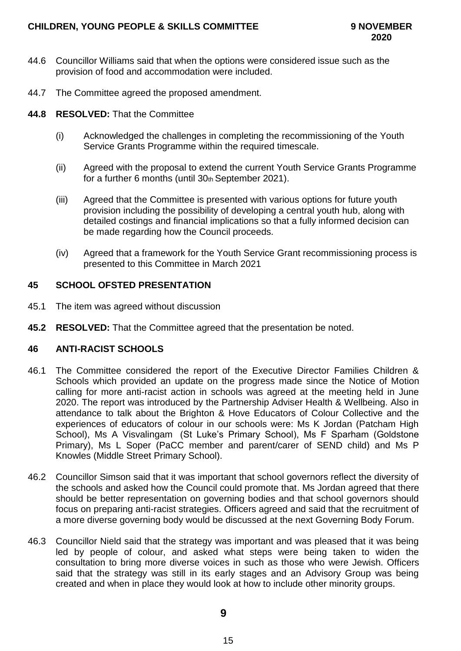- 44.6 Councillor Williams said that when the options were considered issue such as the provision of food and accommodation were included.
- 44.7 The Committee agreed the proposed amendment.
- **44.8 RESOLVED:** That the Committee
	- (i) Acknowledged the challenges in completing the recommissioning of the Youth Service Grants Programme within the required timescale.
	- (ii) Agreed with the proposal to extend the current Youth Service Grants Programme for a further 6 months (until 30th September 2021).
	- (iii) Agreed that the Committee is presented with various options for future youth provision including the possibility of developing a central youth hub, along with detailed costings and financial implications so that a fully informed decision can be made regarding how the Council proceeds.
	- (iv) Agreed that a framework for the Youth Service Grant recommissioning process is presented to this Committee in March 2021

## **45 SCHOOL OFSTED PRESENTATION**

- 45.1 The item was agreed without discussion
- **45.2 RESOLVED:** That the Committee agreed that the presentation be noted.

## **46 ANTI-RACIST SCHOOLS**

- 46.1 The Committee considered the report of the Executive Director Families Children & Schools which provided an update on the progress made since the Notice of Motion calling for more anti-racist action in schools was agreed at the meeting held in June 2020. The report was introduced by the Partnership Adviser Health & Wellbeing. Also in attendance to talk about the Brighton & Hove Educators of Colour Collective and the experiences of educators of colour in our schools were: Ms K Jordan (Patcham High School), Ms A Visvalingam (St Luke's Primary School), Ms F Sparham (Goldstone Primary), Ms L Soper (PaCC member and parent/carer of SEND child) and Ms P Knowles (Middle Street Primary School).
- 46.2 Councillor Simson said that it was important that school governors reflect the diversity of the schools and asked how the Council could promote that. Ms Jordan agreed that there should be better representation on governing bodies and that school governors should focus on preparing anti-racist strategies. Officers agreed and said that the recruitment of a more diverse governing body would be discussed at the next Governing Body Forum.
- 46.3 Councillor Nield said that the strategy was important and was pleased that it was being led by people of colour, and asked what steps were being taken to widen the consultation to bring more diverse voices in such as those who were Jewish. Officers said that the strategy was still in its early stages and an Advisory Group was being created and when in place they would look at how to include other minority groups.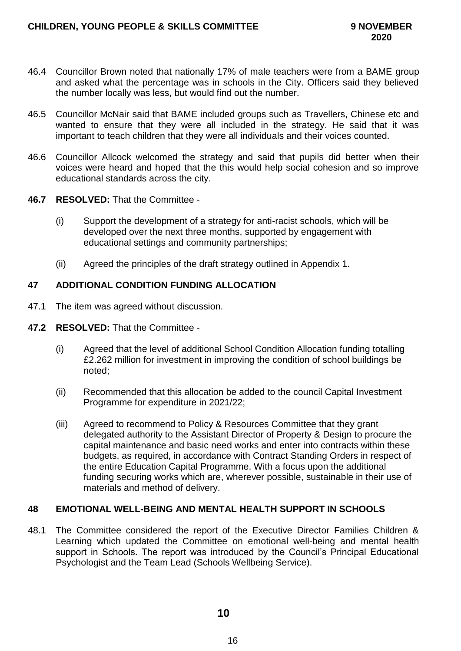- 46.4 Councillor Brown noted that nationally 17% of male teachers were from a BAME group and asked what the percentage was in schools in the City. Officers said they believed the number locally was less, but would find out the number.
- 46.5 Councillor McNair said that BAME included groups such as Travellers, Chinese etc and wanted to ensure that they were all included in the strategy. He said that it was important to teach children that they were all individuals and their voices counted.
- 46.6 Councillor Allcock welcomed the strategy and said that pupils did better when their voices were heard and hoped that the this would help social cohesion and so improve educational standards across the city.
- **46.7 RESOLVED:** That the Committee
	- (i) Support the development of a strategy for anti-racist schools, which will be developed over the next three months, supported by engagement with educational settings and community partnerships;
	- (ii) Agreed the principles of the draft strategy outlined in Appendix 1.

## **47 ADDITIONAL CONDITION FUNDING ALLOCATION**

- 47.1 The item was agreed without discussion.
- **47.2 RESOLVED:** That the Committee
	- (i) Agreed that the level of additional School Condition Allocation funding totalling £2.262 million for investment in improving the condition of school buildings be noted;
	- (ii) Recommended that this allocation be added to the council Capital Investment Programme for expenditure in 2021/22;
	- (iii) Agreed to recommend to Policy & Resources Committee that they grant delegated authority to the Assistant Director of Property & Design to procure the capital maintenance and basic need works and enter into contracts within these budgets, as required, in accordance with Contract Standing Orders in respect of the entire Education Capital Programme. With a focus upon the additional funding securing works which are, wherever possible, sustainable in their use of materials and method of delivery.

## **48 EMOTIONAL WELL-BEING AND MENTAL HEALTH SUPPORT IN SCHOOLS**

48.1 The Committee considered the report of the Executive Director Families Children & Learning which updated the Committee on emotional well-being and mental health support in Schools. The report was introduced by the Council's Principal Educational Psychologist and the Team Lead (Schools Wellbeing Service).